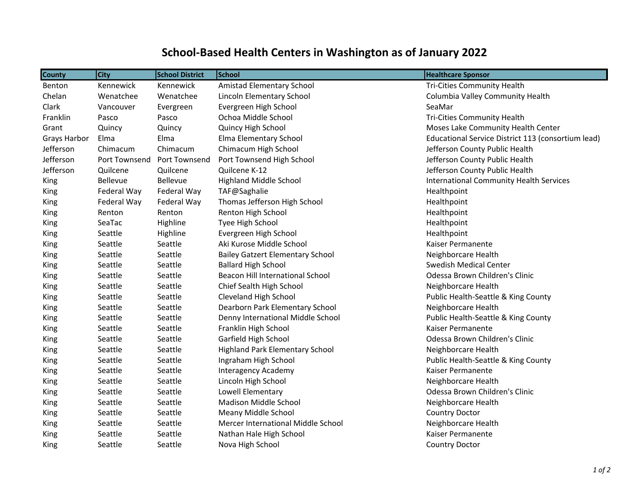## **School-Based Health Centers in Washington as of January 2022**

| <b>County</b> | <b>City</b>   | <b>School District</b> | School                                  | <b>Healthcare Sponsor</b>                          |
|---------------|---------------|------------------------|-----------------------------------------|----------------------------------------------------|
| <b>Benton</b> | Kennewick     | Kennewick              | Amistad Elementary School               | Tri-Cities Community Health                        |
| Chelan        | Wenatchee     | Wenatchee              | Lincoln Elementary School               | Columbia Valley Community Health                   |
| Clark         | Vancouver     | Evergreen              | Evergreen High School                   | SeaMar                                             |
| Franklin      | Pasco         | Pasco                  | Ochoa Middle School                     | Tri-Cities Community Health                        |
| Grant         | Quincy        | Quincy                 | Quincy High School                      | Moses Lake Community Health Center                 |
| Grays Harbor  | Elma          | Elma                   | Elma Elementary School                  | Educational Service District 113 (consortium lead) |
| Jefferson     | Chimacum      | Chimacum               | Chimacum High School                    | Jefferson County Public Health                     |
| Jefferson     | Port Townsend | Port Townsend          | Port Townsend High School               | Jefferson County Public Health                     |
| Jefferson     | Quilcene      | Quilcene               | Quilcene K-12                           | Jefferson County Public Health                     |
| King          | Bellevue      | Bellevue               | <b>Highland Middle School</b>           | <b>International Community Health Services</b>     |
| King          | Federal Way   | Federal Way            | TAF@Saghalie                            | Healthpoint                                        |
| King          | Federal Way   | Federal Way            | Thomas Jefferson High School            | Healthpoint                                        |
| King          | Renton        | Renton                 | Renton High School                      | Healthpoint                                        |
| King          | SeaTac        | Highline               | Tyee High School                        | Healthpoint                                        |
| <b>King</b>   | Seattle       | Highline               | Evergreen High School                   | Healthpoint                                        |
| <b>King</b>   | Seattle       | Seattle                | Aki Kurose Middle School                | Kaiser Permanente                                  |
| King          | Seattle       | Seattle                | <b>Bailey Gatzert Elementary School</b> | Neighborcare Health                                |
| <b>King</b>   | Seattle       | Seattle                | <b>Ballard High School</b>              | <b>Swedish Medical Center</b>                      |
| King          | Seattle       | Seattle                | <b>Beacon Hill International School</b> | Odessa Brown Children's Clinic                     |
| King          | Seattle       | Seattle                | Chief Sealth High School                | Neighborcare Health                                |
| <b>King</b>   | Seattle       | Seattle                | Cleveland High School                   | Public Health-Seattle & King County                |
| King          | Seattle       | Seattle                | Dearborn Park Elementary School         | Neighborcare Health                                |
| King          | Seattle       | Seattle                | Denny International Middle School       | Public Health-Seattle & King County                |
| King          | Seattle       | Seattle                | Franklin High School                    | Kaiser Permanente                                  |
| King          | Seattle       | Seattle                | Garfield High School                    | Odessa Brown Children's Clinic                     |
| <b>King</b>   | Seattle       | Seattle                | <b>Highland Park Elementary School</b>  | Neighborcare Health                                |
| King          | Seattle       | Seattle                | Ingraham High School                    | Public Health-Seattle & King County                |
| King          | Seattle       | Seattle                | <b>Interagency Academy</b>              | Kaiser Permanente                                  |
| King          | Seattle       | Seattle                | Lincoln High School                     | Neighborcare Health                                |
| King          | Seattle       | Seattle                | Lowell Elementary                       | Odessa Brown Children's Clinic                     |
| <b>King</b>   | Seattle       | Seattle                | Madison Middle School                   | Neighborcare Health                                |
| King          | Seattle       | Seattle                | Meany Middle School                     | Country Doctor                                     |
| King          | Seattle       | Seattle                | Mercer International Middle School      | Neighborcare Health                                |
| King          | Seattle       | Seattle                | Nathan Hale High School                 | Kaiser Permanente                                  |
| King          | Seattle       | Seattle                | Nova High School                        | <b>Country Doctor</b>                              |